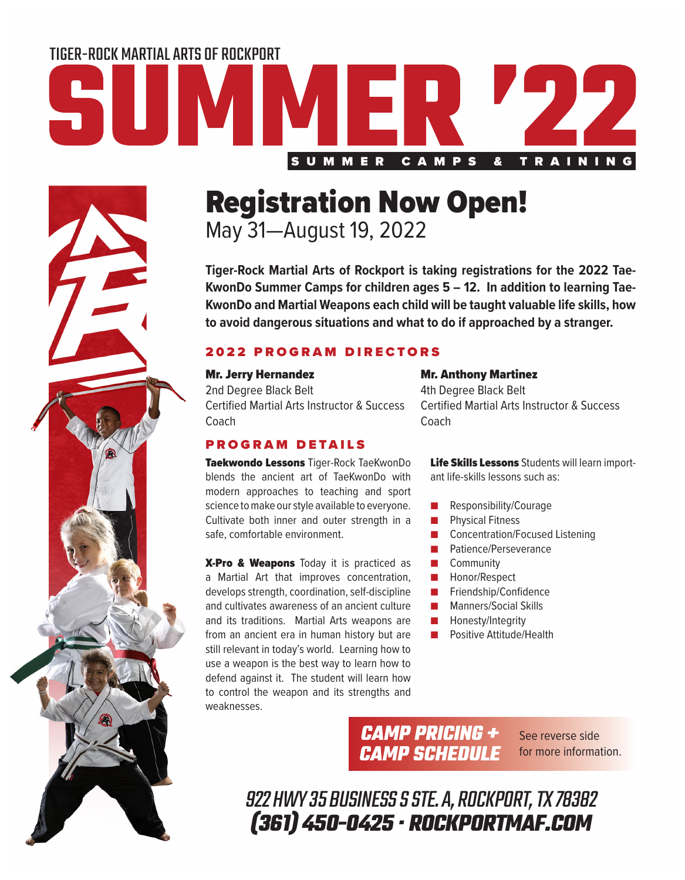# SUMMER CAMPS & TRAINING TIGER-ROCK MARTIAL ARTS OF ROCKPORT

# Registration Now Open!

May 31—August 19, 2022

**Tiger-Rock Martial Arts of Rockport is taking registrations for the 2022 Tae-KwonDo Summer Camps for children ages 5 – 12. In addition to learning Tae-KwonDo and Martial Weapons each child will be taught valuable life skills, how to avoid dangerous situations and what to do if approached by a stranger.**

### 2022 PROGRAM DIRECTORS

#### Mr. Jerry Hernandez

2nd Degree Black Belt Certified Martial Arts Instructor & Success **Coach** 

#### PROGRAM DETAILS

Taekwondo Lessons Tiger-Rock TaeKwonDo blends the ancient art of TaeKwonDo with modern approaches to teaching and sport science to make our style available to everyone. Cultivate both inner and outer strength in a safe, comfortable environment.

X-Pro & Weapons Today it is practiced as a Martial Art that improves concentration, develops strength, coordination, self-discipline and cultivates awareness of an ancient culture and its traditions. Martial Arts weapons are from an ancient era in human history but are still relevant in today's world. Learning how to use a weapon is the best way to learn how to defend against it. The student will learn how to control the weapon and its strengths and weaknesses.

#### Mr. Anthony Martinez

4th Degree Black Belt Certified Martial Arts Instructor & Success **Coach** 

Life Skills Lessons Students will learn important life-skills lessons such as:

- Responsibility/Courage
- Physical Fitness
- Concentration/Focused Listening
- Patience/Perseverance
- Community
- Honor/Respect
- Friendship/Confidence
- Manners/Social Skills
- Honesty/Integrity
- Positive Attitude/Health

**CAMP PRICING + CAMP SCHEDULE** 

See reverse side for more information.

922 HWY 35 BUSINESS S STE. A, ROCKPORT, TX 78382 **(361) 450-0425 · ROCKPORTMAF.COM**